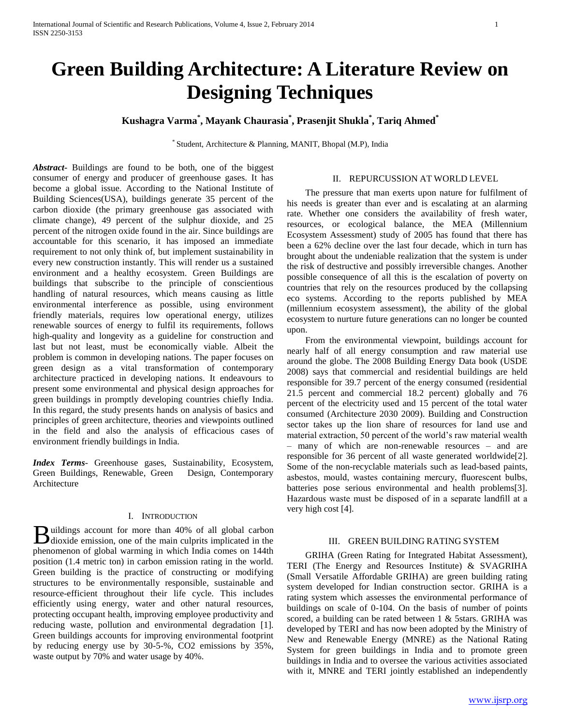# **Green Building Architecture: A Literature Review on Designing Techniques**

**Kushagra Varma\* , Mayank Chaurasia\* , Prasenjit Shukla\* , Tariq Ahmed\***

\* Student, Architecture & Planning, MANIT, Bhopal (M.P), India

*Abstract***-** Buildings are found to be both, one of the biggest consumer of energy and producer of greenhouse gases. It has become a global issue. According to the National Institute of Building Sciences(USA), buildings generate 35 percent of the carbon dioxide (the primary greenhouse gas associated with climate change), 49 percent of the sulphur dioxide, and 25 percent of the nitrogen oxide found in the air. Since buildings are accountable for this scenario, it has imposed an immediate requirement to not only think of, but implement sustainability in every new construction instantly. This will render us a sustained environment and a healthy ecosystem. Green Buildings are buildings that subscribe to the principle of conscientious handling of natural resources, which means causing as little environmental interference as possible, using environment friendly materials, requires low operational energy, utilizes renewable sources of energy to fulfil its requirements, follows high-quality and longevity as a guideline for construction and last but not least, must be economically viable. Albeit the problem is common in developing nations. The paper focuses on green design as a vital transformation of contemporary architecture practiced in developing nations. It endeavours to present some environmental and physical design approaches for green buildings in promptly developing countries chiefly India. In this regard, the study presents hands on analysis of basics and principles of green architecture, theories and viewpoints outlined in the field and also the analysis of efficacious cases of environment friendly buildings in India.

*Index Terms*- Greenhouse gases, Sustainability, Ecosystem, Green Buildings, Renewable, Green Design, Contemporary Architecture

## I. INTRODUCTION

uildings account for more than 40% of all global carbon **d**uildings account for more than 40% of all global carbon dioxide emission, one of the main culprits implicated in the phenomenon of global warming in which India comes on 144th position (1.4 metric ton) in carbon emission rating in the world. Green building is the practice of constructing or modifying structures to be environmentally responsible, sustainable and resource-efficient throughout their life cycle. This includes efficiently using energy, water and other natural resources, protecting occupant health, improving employee productivity and reducing waste, pollution and environmental degradation [1]. Green buildings accounts for improving environmental footprint by reducing energy use by 30-5-%, CO2 emissions by 35%, waste output by 70% and water usage by 40%.

### II. REPURCUSSION AT WORLD LEVEL

 The pressure that man exerts upon nature for fulfilment of his needs is greater than ever and is escalating at an alarming rate. Whether one considers the availability of fresh water, resources, or ecological balance, the MEA (Millennium Ecosystem Assessment) study of 2005 has found that there has been a 62% decline over the last four decade, which in turn has brought about the undeniable realization that the system is under the risk of destructive and possibly irreversible changes. Another possible consequence of all this is the escalation of poverty on countries that rely on the resources produced by the collapsing eco systems. According to the reports published by MEA (millennium ecosystem assessment), the ability of the global ecosystem to nurture future generations can no longer be counted upon.

 From the environmental viewpoint, buildings account for nearly half of all energy consumption and raw material use around the globe. The 2008 Building Energy Data book (USDE 2008) says that commercial and residential buildings are held responsible for 39.7 percent of the energy consumed (residential 21.5 percent and commercial 18.2 percent) globally and 76 percent of the electricity used and 15 percent of the total water consumed (Architecture 2030 2009). Building and Construction sector takes up the lion share of resources for land use and material extraction, 50 percent of the world's raw material wealth – many of which are non-renewable resources – and are responsible for 36 percent of all waste generated worldwide[2]. Some of the non-recyclable materials such as lead-based paints, asbestos, mould, wastes containing mercury, fluorescent bulbs, batteries pose serious environmental and health problems[3]. Hazardous waste must be disposed of in a separate landfill at a very high cost [4].

# III. GREEN BUILDING RATING SYSTEM

 GRIHA (Green Rating for Integrated Habitat Assessment), TERI (The Energy and Resources Institute) & SVAGRIHA (Small Versatile Affordable GRIHA) are green building rating system developed for Indian construction sector. GRIHA is a rating system which assesses the environmental performance of buildings on scale of 0-104. On the basis of number of points scored, a building can be rated between 1 & 5stars. GRIHA was developed by TERI and has now been adopted by the Ministry of New and Renewable Energy (MNRE) as the National Rating System for green buildings in India and to promote green buildings in India and to oversee the various activities associated with it, MNRE and TERI jointly established an independently